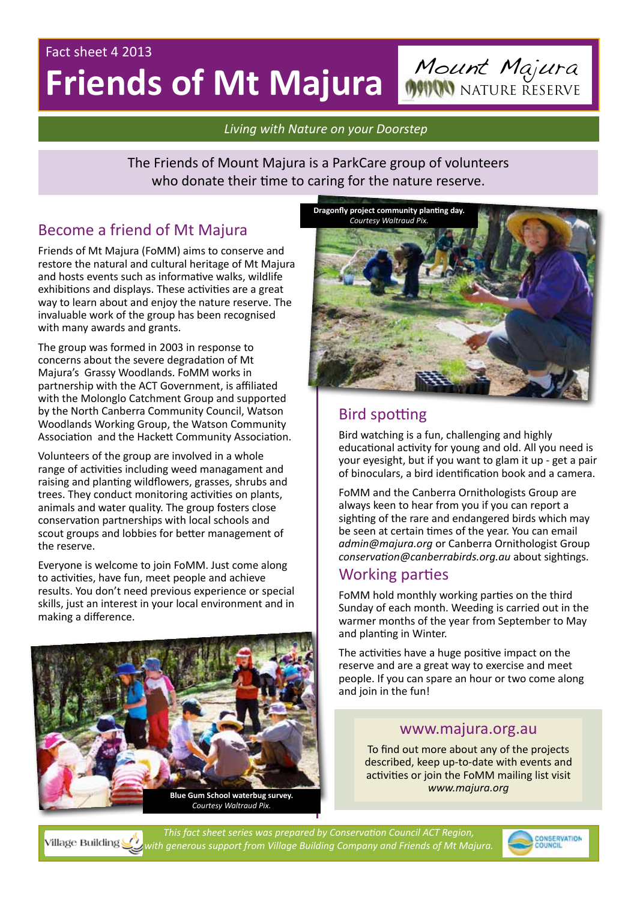# Fact sheet 4 2013 **Friends of Mt Majura** Mount Majura

*Living with Nature on your Doorstep*

The Friends of Mount Majura is a ParkCare group of volunteers who donate their time to caring for the nature reserve.

# Become a friend of Mt Majura

Friends of Mt Majura (FoMM) aims to conserve and restore the natural and cultural heritage of Mt Majura and hosts events such as informative walks, wildlife exhibitions and displays. These activities are a great way to learn about and enjoy the nature reserve. The invaluable work of the group has been recognised with many awards and grants.

The group was formed in 2003 in response to concerns about the severe degradation of Mt Majura's Grassy Woodlands. FoMM works in partnership with the ACT Government, is affiliated with the Molonglo Catchment Group and supported by the North Canberra Community Council, Watson Woodlands Working Group, the Watson Community Association and the Hackett Community Association.

Volunteers of the group are involved in a whole range of activities including weed managament and raising and planting wildflowers, grasses, shrubs and trees. They conduct monitoring activities on plants, animals and water quality. The group fosters close conservation partnerships with local schools and scout groups and lobbies for better management of the reserve.

Everyone is welcome to join FoMM. Just come along to activities, have fun, meet people and achieve results. You don't need previous experience or special skills, just an interest in your local environment and in making a difference.





# Bird spotting

Bird watching is a fun, challenging and highly educational activity for young and old. All you need is your eyesight, but if you want to glam it up - get a pair of binoculars, a bird identification book and a camera.

FoMM and the Canberra Ornithologists Group are always keen to hear from you if you can report a sighting of the rare and endangered birds which may be seen at certain times of the year. You can email *admin@majura.org* or Canberra Ornithologist Group *conservation@canberrabirds.org.au* about sightings.

### Working parties

FoMM hold monthly working parties on the third Sunday of each month. Weeding is carried out in the warmer months of the year from September to May and planting in Winter.

The activities have a huge positive impact on the reserve and are a great way to exercise and meet people. If you can spare an hour or two come along and join in the fun!

### www.majura.org.au

To find out more about any of the projects described, keep up-to-date with events and activities or join the FoMM mailing list visit *www.majura.org*



*This fact sheet series was prepared by Conservation Council ACT Region, with generous support from Village Building Company and Friends of Mt Majura.*